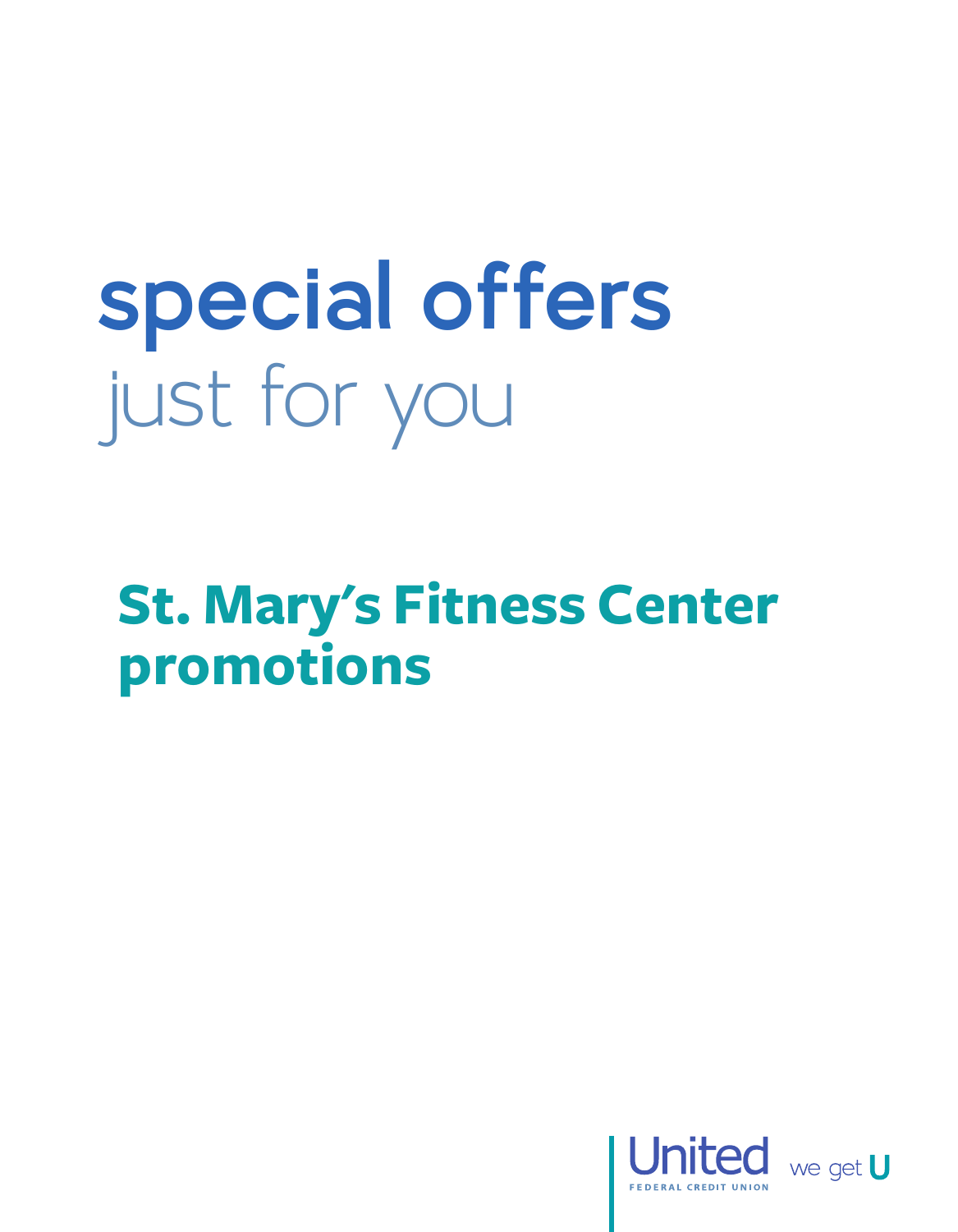## **special offers** just for you

**St. Mary's Fitness Center promotions**



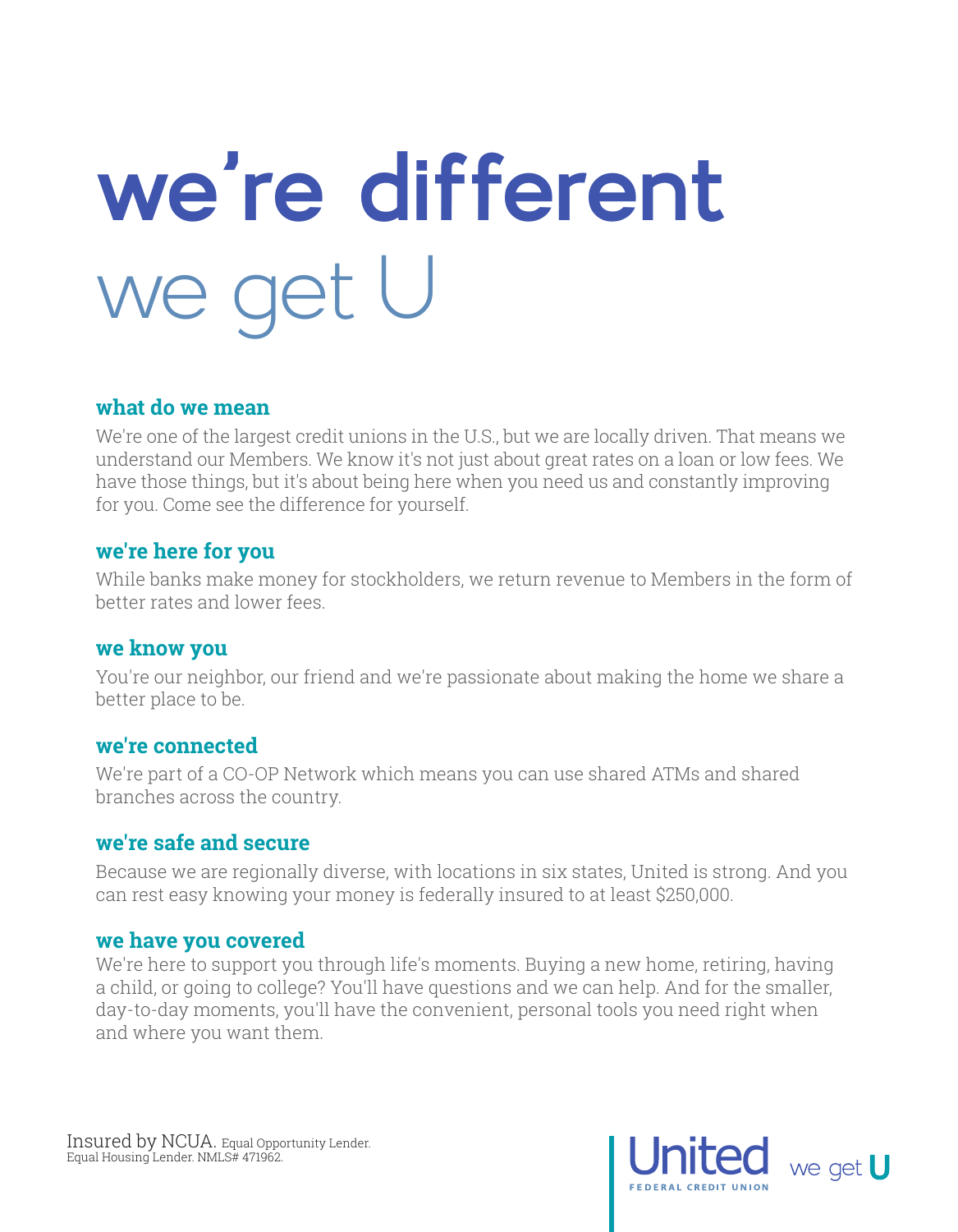## **we're different** we get U

### **what do we mean**

We're one of the largest credit unions in the U.S., but we are locally driven. That means we understand our Members. We know it's not just about great rates on a loan or low fees. We have those things, but it's about being here when you need us and constantly improving for you. Come see the difference for yourself.

### **we're here for you**

While banks make money for stockholders, we return revenue to Members in the form of better rates and lower fees.

### **we know you**

You're our neighbor, our friend and we're passionate about making the home we share a better place to be.

### **we're connected**

We're part of a CO-OP Network which means you can use shared ATMs and shared branches across the country.

### **we're safe and secure**

Because we are regionally diverse, with locations in six states, United is strong. And you can rest easy knowing your money is federally insured to at least \$250,000.

### **we have you covered**

We're here to support you through life's moments. Buying a new home, retiring, having a child, or going to college? You'll have questions and we can help. And for the smaller, day-to-day moments, you'll have the convenient, personal tools you need right when and where you want them.

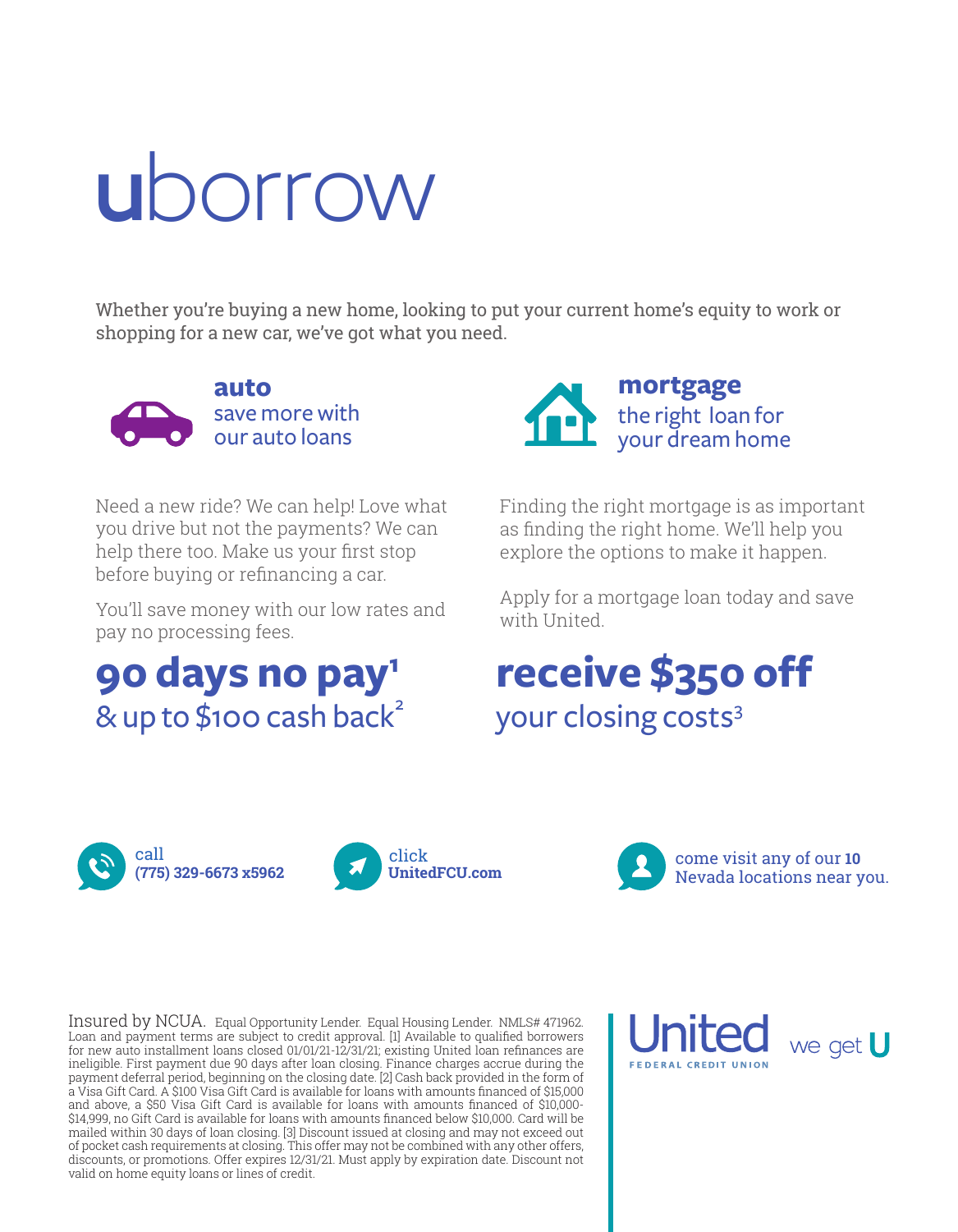## **u**borrow

Whether you're buying a new home, looking to put your current home's equity to work or shopping for a new car, we've got what you need.



save more with our auto loans

Need a new ride? We can help! Love what you drive but not the payments? We can help there too. Make us your first stop before buying or refinancing a car.

You'll save money with our low rates and pay no processing fees.

## **90 days no pay1**  $8$  up to \$100 cash back<sup>2</sup>



Finding the right mortgage is as important as finding the right home. We'll help you explore the options to make it happen.

Apply for a mortgage loan today and save with United.

## **receive \$350 off** your closing costs<sup>3</sup>





come visit any of our **10** Nevada locations near you.

Insured by NCUA. Equal Opportunity Lender. Equal Housing Lender. NMLS# 471962. Loan and payment terms are subject to credit approval. [1] Available to qualified borrowers for new auto installment loans closed 01/01/21-12/31/21; existing United loan refinances are ineligible. First payment due 90 days after loan closing. Finance charges accrue during the payment deferral period, beginning on the closing date. [2] Cash back provided in the form of a Visa Gift Card. A \$100 Visa Gift Card is available for loans with amounts financed of \$15,000 and above, a \$50 Visa Gift Card is available for loans with amounts financed of \$10,000- \$14,999, no Gift Card is available for loans with amounts financed below \$10,000. Card will be mailed within 30 days of loan closing. [3] Discount issued at closing and may not exceed out of pocket cash requirements at closing. This offer may not be combined with any other offers, discounts, or promotions. Offer expires 12/31/21. Must apply by expiration date. Discount not valid on home equity loans or lines of credit.

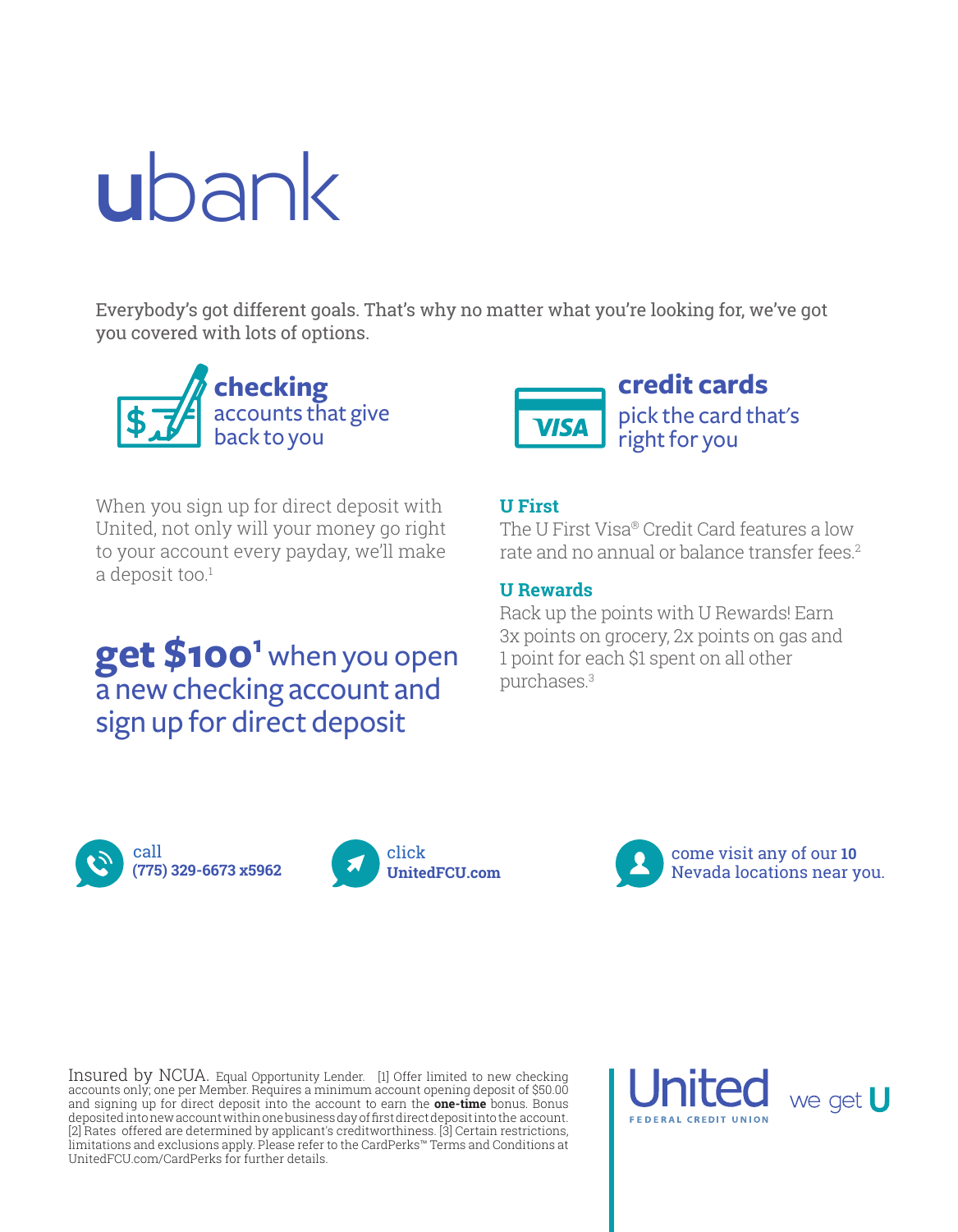## **u**bank

Everybody's got different goals. That's why no matter what you're looking for, we've got you covered with lots of options.



When you sign up for direct deposit with United, not only will your money go right to your account every payday, we'll make  $a$  deposit too.<sup>1</sup>

## **get \$1001** when you open a new checking account and sign up for direct deposit



### **U First**

The U First Visa® Credit Card features a low rate and no annual or balance transfer fees.2

### **U Rewards**

Rack up the points with U Rewards! Earn 3x points on grocery, 2x points on gas and 1 point for each \$1 spent on all other purchases.3





come visit any of our **10** Nevada locations near you.

Insured by NCUA. Equal Opportunity Lender. [1] Offer limited to new checking accounts only; one per Member. Requires a minimum account opening deposit of \$50.00 and signing up for direct deposit into the account to earn the **one-time** bonus. Bonus deposited into new account within one business day of first direct deposit into the account. [2] Rates offered are determined by applicant's creditworthiness. [3] Certain restrictions, limitations and exclusions apply. Please refer to the CardPerks™ Terms and Conditions at UnitedFCU.com/CardPerks for further details.

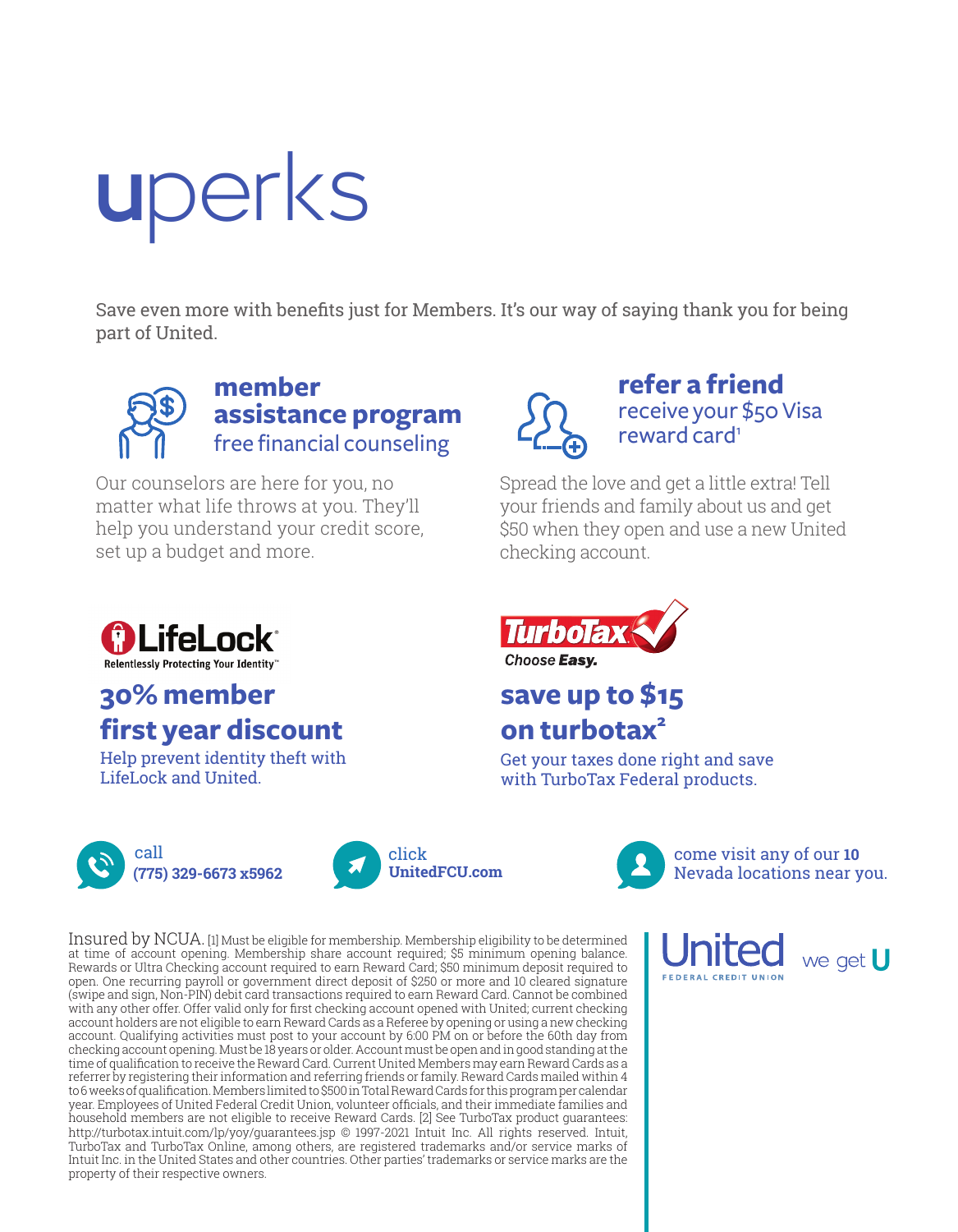## **u**perks

Save even more with benefits just for Members. It's our way of saying thank you for being part of United.



**member assistance program** free financial counseling

Our counselors are here for you, no matter what life throws at you. They'll help you understand your credit score, set up a budget and more.



**refer a friend** receive your \$50 Visa reward card<sup>1</sup>

Spread the love and get a little extra! Tell your friends and family about us and get \$50 when they open and use a new United checking account.



### **save up to \$15 on turbotax<sup>2</sup>**

Get your taxes done right and save with TurboTax Federal products.



LifeLock and United.

**30% member** 

**Mille Lock** 

**Relentlessly Protecting Your Identity** 

**first year discount** Help prevent identity theft with





come visit any of our **10** Nevada locations near you.

Insured by NCUA. [1] Must be eligible for membership. Membership eligibility to be determined at time of account opening. Membership share account required; \$5 minimum opening balance. Rewards or Ultra Checking account required to earn Reward Card; \$50 minimum deposit required to open. One recurring payroll or government direct deposit of \$250 or more and 10 cleared signature (swipe and sign, Non-PIN) debit card transactions required to earn Reward Card. Cannot be combined with any other offer. Offer valid only for first checking account opened with United; current checking account holders are not eligible to earn Reward Cards as a Referee by opening or using a new checking account. Qualifying activities must post to your account by 6:00 PM on or before the 60th day from checking account opening. Must be 18 years or older. Account must be open and in good standing at the time of qualification to receive the Reward Card. Current United Members may earn Reward Cards as a referrer by registering their information and referring friends or family. Reward Cards mailed within 4 to 6 weeks of qualification. Members limited to \$500 in Total Reward Cards for this program per calendar year. Employees of United Federal Credit Union, volunteer officials, and their immediate families and household members are not eligible to receive Reward Cards. [2] See TurboTax product guarantees: http://turbotax.intuit.com/lp/yoy/guarantees.jsp © 1997-2021 Intuit Inc. All rights reserved. Intuit, TurboTax and TurboTax Online, among others, are registered trademarks and/or service marks of Intuit Inc. in the United States and other countries. Other parties' trademarks or service marks are the property of their respective owners.